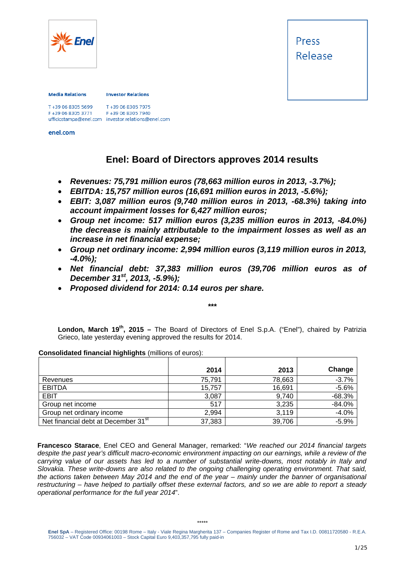

Press Release

#### **Media Relations**

**Investor Relations** 

T+39 06 8305 7975 F+39 06 8305 3771 F+39 06 8305 7940 ufficiostampa@enel.com investor.relations@enel.com<br>enel.com

# **Enel: Board of Directors approves 2014 results**

- *Revenues: 75,791 million euros (78,663 million euros in 2013, -3.7%);*
- *EBITDA: 15,757 million euros (16,691 million euros in 2013, -5.6%);*
- *EBIT: 3,087 million euros (9,740 million euros in 2013, -68.3%) taking into account impairment losses for 6,427 million euros;*
- *Group net income: 517 million euros (3,235 million euros in 2013, -84.0%) the decrease is mainly attributable to the impairment losses as well as an increase in net financial expense;*
- *Group net ordinary income: 2,994 million euros (3,119 million euros in 2013, -4.0%);*
- *Net financial debt: 37,383 million euros (39,706 million euros as of December 31st, 2013, -5.9%);*
- *Proposed dividend for 2014: 0.14 euros per share.*

*\*\*\**

**London, March 19th, 2015 –** The Board of Directors of Enel S.p.A. ("Enel"), chaired by Patrizia Grieco, late yesterday evening approved the results for 2014.

|                                                 | 2014   | 2013   | Change   |
|-------------------------------------------------|--------|--------|----------|
| Revenues                                        | 75.791 | 78,663 | $-3.7%$  |
| <b>EBITDA</b>                                   | 15,757 | 16,691 | $-5.6%$  |
| <b>EBIT</b>                                     | 3,087  | 9,740  | $-68.3%$ |
| Group net income                                | 517    | 3,235  | $-84.0%$ |
| Group net ordinary income                       | 2,994  | 3,119  | $-4.0%$  |
| Net financial debt at December 31 <sup>st</sup> | 37,383 | 39,706 | $-5.9%$  |

**Consolidated financial highlights** (millions of euros):

**Francesco Starace**, Enel CEO and General Manager, remarked: "*We reached our 2014 financial targets despite the past year's difficult macro-economic environment impacting on our earnings, while a review of the carrying value of our assets has led to a number of substantial write-downs, most notably in Italy and Slovakia. These write-downs are also related to the ongoing challenging operating environment. That said, the actions taken between May 2014 and the end of the year – mainly under the banner of organisational restructuring – have helped to partially offset these external factors, and so we are able to report a steady operational performance for the full year 2014*".

**Enel SpA** – Registered Office: 00198 Rome – Italy - Viale Regina Margherita 137 – Companies Register of Rome and Tax I.D. 00811720580 - R.E.A. 756032 – VAT Code 00934061003 – Stock Capital Euro 9,403,357,795 fully paid-in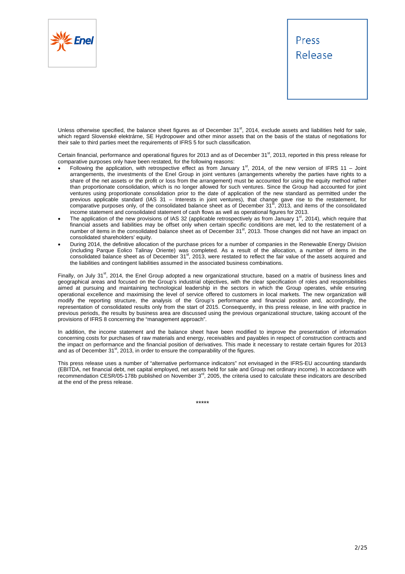



Unless otherwise specified, the balance sheet figures as of December  $31^{st}$ , 2014, exclude assets and liabilities held for sale, which regard Slovenské elektrárne, SE Hydropower and other minor assets that on the basis of the status of negotiations for their sale to third parties meet the requirements of IFRS 5 for such classification.

Certain financial, performance and operational figures for 2013 and as of December  $31<sup>st</sup>$ , 2013, reported in this press release for comparative purposes only have been restated, for the following reasons:

- Following the application, with retrospective effect as from January  $1<sup>st</sup>$ , 2014, of the new version of IFRS 11 Joint arrangements, the investments of the Enel Group in joint ventures (arrangements whereby the parties have rights to a share of the net assets or the profit or loss from the arrangement) must be accounted for using the equity method rather than proportionate consolidation, which is no longer allowed for such ventures. Since the Group had accounted for joint ventures using proportionate consolidation prior to the date of application of the new standard as permitted under the previous applicable standard (IAS 31 – Interests in joint ventures), that change gave rise to the restatement, for<br>comparative purposes only, of the consolidated balance sheet as of December 31<sup>st</sup>, 2013, and items of the income statement and consolidated statement of cash flows as well as operational figures for 2013.
- The application of the new provisions of IAS 32 (applicable retrospectively as from January 1<sup>st</sup>, 2014), which require that financial assets and liabilities may be offset only when certain specific conditions are met, led to the restatement of a number of items in the consolidated balance sheet as of December 31<sup>st</sup>, 2013. Those changes did not have an impact on consolidated shareholders' equity.
- During 2014, the definitive allocation of the purchase prices for a number of companies in the Renewable Energy Division (including Parque Eolico Talinay Oriente) was completed. As a result of the allocation, a number of items in the<br>consolidated balance sheet as of December 31<sup>st</sup>, 2013, were restated to reflect the fair value of the assets the liabilities and contingent liabilities assumed in the associated business combinations.

Finally, on July 31<sup>st</sup>, 2014, the Enel Group adopted a new organizational structure, based on a matrix of business lines and geographical areas and focused on the Group's industrial objectives, with the clear specification of roles and responsibilities aimed at pursuing and maintaining technological leadership in the sectors in which the Group operates, while ensuring operational excellence and maximising the level of service offered to customers in local markets. The new organization will modify the reporting structure, the analysis of the Group's performance and financial position and, accordingly, the representation of consolidated results only from the start of 2015. Consequently, in this press release, in line with practice in previous periods, the results by business area are discussed using the previous organizational structure, taking account of the provisions of IFRS 8 concerning the "management approach".

In addition, the income statement and the balance sheet have been modified to improve the presentation of information concerning costs for purchases of raw materials and energy, receivables and payables in respect of construction contracts and the impact on performance and the financial position of derivatives. This made it necessary to restate certain figures for 2013 and as of December  $31<sup>st</sup>$ , 2013, in order to ensure the comparability of the figures.

This press release uses a number of "alternative performance indicators" not envisaged in the IFRS-EU accounting standards (EBITDA, net financial debt, net capital employed, net assets held for sale and Group net ordinary income). In accordance with recommendation CESR/05-178b published on November 3<sup>rd</sup>, 2005, the criteria used to calculate these indicators are described at the end of the press release.

\*\*\*\*\*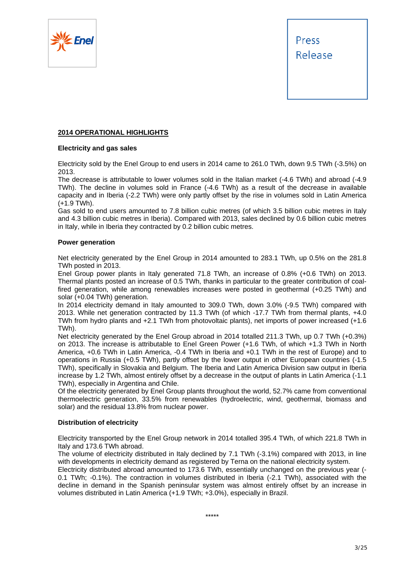



## **2014 OPERATIONAL HIGHLIGHTS**

## **Electricity and gas sales**

Electricity sold by the Enel Group to end users in 2014 came to 261.0 TWh, down 9.5 TWh (-3.5%) on 2013.

The decrease is attributable to lower volumes sold in the Italian market (-4.6 TWh) and abroad (-4.9 TWh). The decline in volumes sold in France (-4.6 TWh) as a result of the decrease in available capacity and in Iberia (-2.2 TWh) were only partly offset by the rise in volumes sold in Latin America (+1.9 TWh).

Gas sold to end users amounted to 7.8 billion cubic metres (of which 3.5 billion cubic metres in Italy and 4.3 billion cubic metres in Iberia). Compared with 2013, sales declined by 0.6 billion cubic metres in Italy, while in Iberia they contracted by 0.2 billion cubic metres.

## **Power generation**

Net electricity generated by the Enel Group in 2014 amounted to 283.1 TWh, up 0.5% on the 281.8 TWh posted in 2013.

Enel Group power plants in Italy generated 71.8 TWh, an increase of 0.8% (+0.6 TWh) on 2013. Thermal plants posted an increase of 0.5 TWh, thanks in particular to the greater contribution of coalfired generation, while among renewables increases were posted in geothermal (+0.25 TWh) and solar (+0.04 TWh) generation.

In 2014 electricity demand in Italy amounted to 309.0 TWh, down 3.0% (-9.5 TWh) compared with 2013. While net generation contracted by 11.3 TWh (of which -17.7 TWh from thermal plants, +4.0 TWh from hydro plants and +2.1 TWh from photovoltaic plants), net imports of power increased (+1.6 TWh).

Net electricity generated by the Enel Group abroad in 2014 totalled 211.3 TWh, up 0.7 TWh (+0.3%) on 2013. The increase is attributable to Enel Green Power (+1.6 TWh, of which +1.3 TWh in North America, +0.6 TWh in Latin America, -0.4 TWh in Iberia and +0.1 TWh in the rest of Europe) and to operations in Russia (+0.5 TWh), partly offset by the lower output in other European countries (-1.5 TWh), specifically in Slovakia and Belgium. The Iberia and Latin America Division saw output in Iberia increase by 1.2 TWh, almost entirely offset by a decrease in the output of plants in Latin America (-1.1 TWh), especially in Argentina and Chile.

Of the electricity generated by Enel Group plants throughout the world, 52.7% came from conventional thermoelectric generation, 33.5% from renewables (hydroelectric, wind, geothermal, biomass and solar) and the residual 13.8% from nuclear power.

## **Distribution of electricity**

Electricity transported by the Enel Group network in 2014 totalled 395.4 TWh, of which 221.8 TWh in Italy and 173.6 TWh abroad.

The volume of electricity distributed in Italy declined by 7.1 TWh (-3.1%) compared with 2013, in line with developments in electricity demand as registered by Terna on the national electricity system.

Electricity distributed abroad amounted to 173.6 TWh, essentially unchanged on the previous year (- 0.1 TWh; -0.1%). The contraction in volumes distributed in Iberia (-2.1 TWh), associated with the decline in demand in the Spanish peninsular system was almost entirely offset by an increase in volumes distributed in Latin America (+1.9 TWh; +3.0%), especially in Brazil.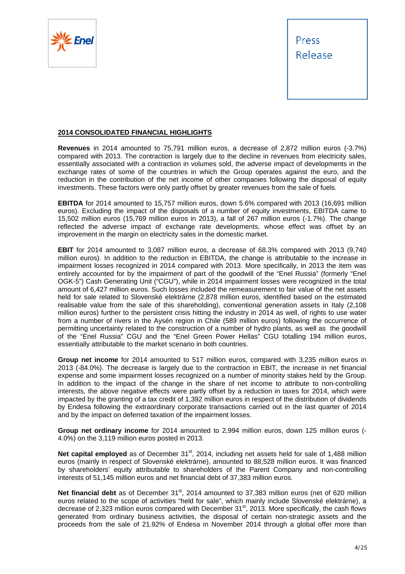



## **2014 CONSOLIDATED FINANCIAL HIGHLIGHTS**

**Revenues** in 2014 amounted to 75,791 million euros, a decrease of 2,872 million euros (-3.7%) compared with 2013. The contraction is largely due to the decline in revenues from electricity sales, essentially associated with a contraction in volumes sold, the adverse impact of developments in the exchange rates of some of the countries in which the Group operates against the euro, and the reduction in the contribution of the net income of other companies following the disposal of equity investments. These factors were only partly offset by greater revenues from the sale of fuels.

**EBITDA** for 2014 amounted to 15,757 million euros, down 5.6% compared with 2013 (16,691 million euros). Excluding the impact of the disposals of a number of equity investments, EBITDA came to 15,502 million euros (15,769 million euros in 2013), a fall of 267 million euros (-1.7%). The change reflected the adverse impact of exchange rate developments, whose effect was offset by an improvement in the margin on electricity sales in the domestic market.

**EBIT** for 2014 amounted to 3,087 million euros, a decrease of 68.3% compared with 2013 (9,740 million euros). In addition to the reduction in EBITDA, the change is attributable to the increase in impairment losses recognized in 2014 compared with 2013. More specifically, in 2013 the item was entirely accounted for by the impairment of part of the goodwill of the "Enel Russia" (formerly "Enel OGK-5") Cash Generating Unit ("CGU"), while in 2014 impairment losses were recognized in the total amount of 6,427 million euros. Such losses included the remeasurement to fair value of the net assets held for sale related to Slovenské elektrárne (2,878 million euros, identified based on the estimated realisable value from the sale of this shareholding), conventional generation assets in Italy (2,108 million euros) further to the persistent crisis hitting the industry in 2014 as well, of rights to use water from a number of rivers in the Aysén region in Chile (589 million euros) following the occurrence of permitting uncertainty related to the construction of a number of hydro plants, as well as the goodwill of the "Enel Russia" CGU and the "Enel Green Power Hellas" CGU totalling 194 million euros, essentially attributable to the market scenario in both countries.

**Group net income** for 2014 amounted to 517 million euros, compared with 3,235 million euros in 2013 (-84.0%). The decrease is largely due to the contraction in EBIT, the increase in net financial expense and some impairment losses recognized on a number of minority stakes held by the Group. In addition to the impact of the change in the share of net income to attribute to non-controlling interests, the above negative effects were partly offset by a reduction in taxes for 2014, which were impacted by the granting of a tax credit of 1,392 million euros in respect of the distribution of dividends by Endesa following the extraordinary corporate transactions carried out in the last quarter of 2014 and by the impact on deferred taxation of the impairment losses.

**Group net ordinary income** for 2014 amounted to 2,994 million euros, down 125 million euros (- 4.0%) on the 3,119 million euros posted in 2013.

**Net capital employed** as of December 31<sup>st</sup>, 2014, including net assets held for sale of 1,488 million euros (mainly in respect of Slovenské elektrárne), amounted to 88,528 million euros. It was financed by shareholders' equity attributable to shareholders of the Parent Company and non-controlling interests of 51,145 million euros and net financial debt of 37,383 million euros.

Net financial debt as of December 31<sup>st</sup>, 2014 amounted to 37,383 million euros (net of 620 million euros related to the scope of activities "held for sale", which mainly include Slovenské elektrárne), a decrease of 2,323 million euros compared with December 31<sup>st</sup>, 2013. More specifically, the cash flows generated from ordinary business activities, the disposal of certain non-strategic assets and the proceeds from the sale of 21.92% of Endesa in November 2014 through a global offer more than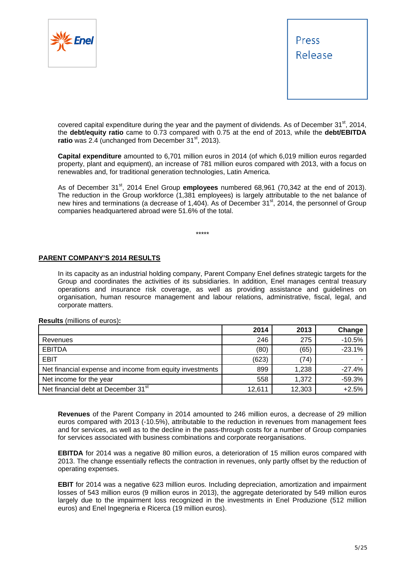



covered capital expenditure during the year and the payment of dividends. As of December  $31<sup>st</sup>$ , 2014, the **debt/equity ratio** came to 0.73 compared with 0.75 at the end of 2013, while the **debt/EBITDA ratio** was 2.4 (unchanged from December 31<sup>st</sup>, 2013).

**Capital expenditure** amounted to 6,701 million euros in 2014 (of which 6,019 million euros regarded property, plant and equipment), an increase of 781 million euros compared with 2013, with a focus on renewables and, for traditional generation technologies, Latin America.

As of December 31<sup>st</sup>, 2014 Enel Group **employees** numbered 68,961 (70,342 at the end of 2013). The reduction in the Group workforce (1,381 employees) is largely attributable to the net balance of new hires and terminations (a decrease of 1,404). As of December 31<sup>st</sup>, 2014, the personnel of Group companies headquartered abroad were 51.6% of the total.

\*\*\*\*\*

# **PARENT COMPANY'S 2014 RESULTS**

In its capacity as an industrial holding company, Parent Company Enel defines strategic targets for the Group and coordinates the activities of its subsidiaries. In addition, Enel manages central treasury operations and insurance risk coverage, as well as providing assistance and guidelines on organisation, human resource management and labour relations, administrative, fiscal, legal, and corporate matters.

|                                                          | 2014   | 2013   | Change   |
|----------------------------------------------------------|--------|--------|----------|
| Revenues                                                 | 246    | 275    | $-10.5%$ |
| <b>EBITDA</b>                                            | (80)   | (65)   | $-23.1%$ |
| <b>EBIT</b>                                              | (623)  | (74)   |          |
| Net financial expense and income from equity investments | 899    | 1,238  | $-27.4%$ |
| Net income for the year                                  | 558    | 1,372  | $-59.3%$ |
| Net financial debt at December 31 <sup>st</sup>          | 12,611 | 12,303 | $+2.5%$  |

**Results** (millions of euros)**:** 

**Revenues** of the Parent Company in 2014 amounted to 246 million euros, a decrease of 29 million euros compared with 2013 (-10.5%), attributable to the reduction in revenues from management fees and for services, as well as to the decline in the pass-through costs for a number of Group companies for services associated with business combinations and corporate reorganisations.

**EBITDA** for 2014 was a negative 80 million euros, a deterioration of 15 million euros compared with 2013. The change essentially reflects the contraction in revenues, only partly offset by the reduction of operating expenses.

**EBIT** for 2014 was a negative 623 million euros. Including depreciation, amortization and impairment losses of 543 million euros (9 million euros in 2013), the aggregate deteriorated by 549 million euros largely due to the impairment loss recognized in the investments in Enel Produzione (512 million euros) and Enel Ingegneria e Ricerca (19 million euros).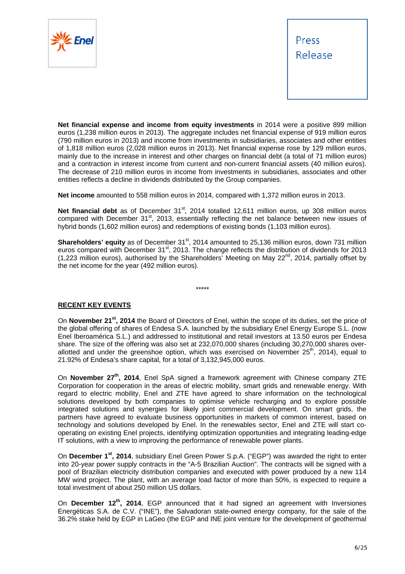



**Net financial expense and income from equity investments** in 2014 were a positive 899 million euros (1,238 million euros in 2013). The aggregate includes net financial expense of 919 million euros (790 million euros in 2013) and income from investments in subsidiaries, associates and other entities of 1,818 million euros (2,028 million euros in 2013). Net financial expense rose by 129 million euros, mainly due to the increase in interest and other charges on financial debt (a total of 71 million euros) and a contraction in interest income from current and non-current financial assets (40 million euros). The decrease of 210 million euros in income from investments in subsidiaries, associates and other entities reflects a decline in dividends distributed by the Group companies.

**Net income** amounted to 558 million euros in 2014, compared with 1,372 million euros in 2013.

**Net financial debt** as of December 31<sup>st</sup>, 2014 totalled 12,611 million euros, up 308 million euros compared with December  $31^{st}$ , 2013, essentially reflecting the net balance between new issues of hybrid bonds (1,602 million euros) and redemptions of existing bonds (1,103 million euros).

**Shareholders' equity** as of December 31<sup>st</sup>, 2014 amounted to 25,136 million euros, down 731 million euros compared with December 31<sup>st</sup>, 2013. The change reflects the distribution of dividends for 2013 (1,223 million euros), authorised by the Shareholders' Meeting on May 22nd, 2014, partially offset by the net income for the year (492 million euros).

\*\*\*\*\*

# **RECENT KEY EVENTS**

On **November 21st, 2014** the Board of Directors of Enel, within the scope of its duties, set the price of the global offering of shares of Endesa S.A. launched by the subsidiary Enel Energy Europe S.L. (now Enel Iberoamérica S.L.) and addressed to institutional and retail investors at 13.50 euros per Endesa share. The size of the offering was also set at 232,070,000 shares (including 30,270,000 shares overallotted and under the greenshoe option, which was exercised on November  $25<sup>th</sup>$ , 2014), equal to 21.92% of Endesa's share capital, for a total of 3,132,945,000 euros.

On **November 27th, 2014**, Enel SpA signed a framework agreement with Chinese company ZTE Corporation for cooperation in the areas of electric mobility, smart grids and renewable energy. With regard to electric mobility, Enel and ZTE have agreed to share information on the technological solutions developed by both companies to optimise vehicle recharging and to explore possible integrated solutions and synergies for likely joint commercial development. On smart grids, the partners have agreed to evaluate business opportunities in markets of common interest, based on technology and solutions developed by Enel. In the renewables sector, Enel and ZTE will start cooperating on existing Enel projects, identifying optimization opportunities and integrating leading-edge IT solutions, with a view to improving the performance of renewable power plants.

On **December 1st, 2014**, subsidiary Enel Green Power S.p.A. ("EGP") was awarded the right to enter into 20-year power supply contracts in the "A-5 Brazilian Auction". The contracts will be signed with a pool of Brazilian electricity distribution companies and executed with power produced by a new 114 MW wind project. The plant, with an average load factor of more than 50%, is expected to require a total investment of about 250 million US dollars.

On **December 12th, 2014**, EGP announced that it had signed an agreement with Inversiones Energéticas S.A. de C.V. ("INE"), the Salvadoran state-owned energy company, for the sale of the 36.2% stake held by EGP in LaGeo (the EGP and INE joint venture for the development of geothermal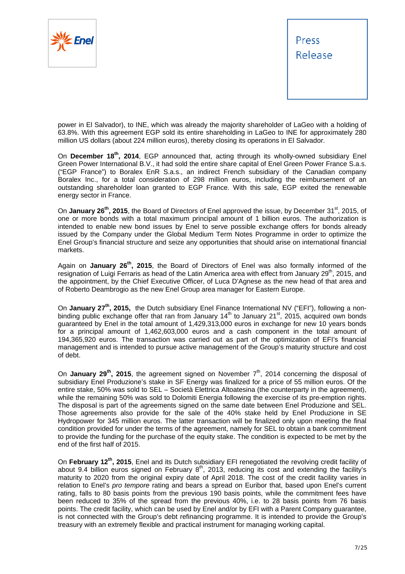



power in El Salvador), to INE, which was already the majority shareholder of LaGeo with a holding of 63.8%. With this agreement EGP sold its entire shareholding in LaGeo to INE for approximately 280 million US dollars (about 224 million euros), thereby closing its operations in El Salvador.

On **December 18th, 2014**, EGP announced that, acting through its wholly-owned subsidiary Enel Green Power International B.V., it had sold the entire share capital of Enel Green Power France S.a.s. ("EGP France") to Boralex EnR S.a.s., an indirect French subsidiary of the Canadian company Boralex Inc., for a total consideration of 298 million euros, including the reimbursement of an outstanding shareholder loan granted to EGP France. With this sale, EGP exited the renewable energy sector in France.

On **January 26<sup>th</sup>**, 2015, the Board of Directors of Enel approved the issue, by December 31<sup>st</sup>, 2015, of one or more bonds with a total maximum principal amount of 1 billion euros. The authorization is intended to enable new bond issues by Enel to serve possible exchange offers for bonds already issued by the Company under the Global Medium Term Notes Programme in order to optimize the Enel Group's financial structure and seize any opportunities that should arise on international financial markets.

Again on **January 26th, 2015**, the Board of Directors of Enel was also formally informed of the resignation of Luigi Ferraris as head of the Latin America area with effect from January 29<sup>th</sup>, 2015, and the appointment, by the Chief Executive Officer, of Luca D'Agnese as the new head of that area and of Roberto Deambrogio as the new Enel Group area manager for Eastern Europe.

On **January 27th, 2015,** the Dutch subsidiary Enel Finance International NV ("EFI"), following a nonbinding public exchange offer that ran from January  $14<sup>th</sup>$  to January  $21<sup>st</sup>$ , 2015, acquired own bonds guaranteed by Enel in the total amount of 1,429,313,000 euros in exchange for new 10 years bonds for a principal amount of 1,462,603,000 euros and a cash component in the total amount of 194,365,920 euros. The transaction was carried out as part of the optimization of EFI's financial management and is intended to pursue active management of the Group's maturity structure and cost of debt.

On **January 29<sup>th</sup>, 2015**, the agreement signed on November 7<sup>th</sup>, 2014 concerning the disposal of subsidiary Enel Produzione's stake in SF Energy was finalized for a price of 55 million euros. Of the entire stake, 50% was sold to SEL – Società Elettrica Altoatesina (the counterparty in the agreement), while the remaining 50% was sold to Dolomiti Energia following the exercise of its pre-emption rights. The disposal is part of the agreements signed on the same date between Enel Produzione and SEL. Those agreements also provide for the sale of the 40% stake held by Enel Produzione in SE Hydropower for 345 million euros. The latter transaction will be finalized only upon meeting the final condition provided for under the terms of the agreement, namely for SEL to obtain a bank commitment to provide the funding for the purchase of the equity stake. The condition is expected to be met by the end of the first half of 2015.

On **February 12th, 2015**, Enel and its Dutch subsidiary EFI renegotiated the revolving credit facility of about 9.4 billion euros signed on February  $8<sup>th</sup>$ , 2013, reducing its cost and extending the facility's maturity to 2020 from the original expiry date of April 2018. The cost of the credit facility varies in relation to Enel's *pro tempore* rating and bears a spread on Euribor that, based upon Enel's current rating, falls to 80 basis points from the previous 190 basis points, while the commitment fees have been reduced to 35% of the spread from the previous 40%, i.e. to 28 basis points from 76 basis points. The credit facility, which can be used by Enel and/or by EFI with a Parent Company guarantee, is not connected with the Group's debt refinancing programme. It is intended to provide the Group's treasury with an extremely flexible and practical instrument for managing working capital.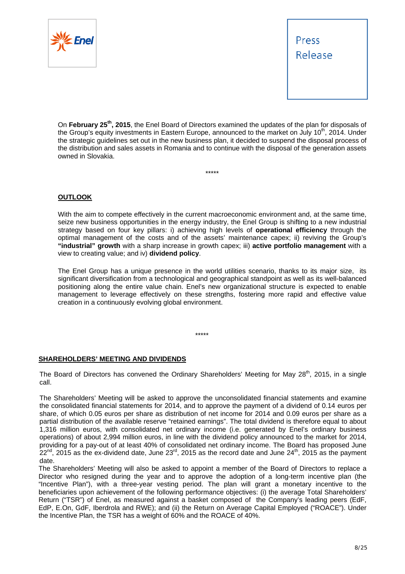



On **February 25th, 2015**, the Enel Board of Directors examined the updates of the plan for disposals of the Group's equity investments in Eastern Europe, announced to the market on July 10<sup>th</sup>, 2014. Under the strategic guidelines set out in the new business plan, it decided to suspend the disposal process of the distribution and sales assets in Romania and to continue with the disposal of the generation assets owned in Slovakia.

\*\*\*\*\*

**OUTLOOK** 

With the aim to compete effectively in the current macroeconomic environment and, at the same time, seize new business opportunities in the energy industry, the Enel Group is shifting to a new industrial strategy based on four key pillars: i) achieving high levels of **operational efficiency** through the optimal management of the costs and of the assets' maintenance capex; ii) reviving the Group's **"industrial" growth** with a sharp increase in growth capex; iii) **active portfolio management** with a view to creating value; and iv) **dividend policy**.

The Enel Group has a unique presence in the world utilities scenario, thanks to its major size, its significant diversification from a technological and geographical standpoint as well as its well-balanced positioning along the entire value chain. Enel's new organizational structure is expected to enable management to leverage effectively on these strengths, fostering more rapid and effective value creation in a continuously evolving global environment.

\*\*\*\*\*

## **SHAREHOLDERS' MEETING AND DIVIDENDS**

The Board of Directors has convened the Ordinary Shareholders' Meeting for May 28<sup>th</sup>, 2015, in a single call.

The Shareholders' Meeting will be asked to approve the unconsolidated financial statements and examine the consolidated financial statements for 2014, and to approve the payment of a dividend of 0.14 euros per share, of which 0.05 euros per share as distribution of net income for 2014 and 0.09 euros per share as a partial distribution of the available reserve "retained earnings". The total dividend is therefore equal to about 1,316 million euros, with consolidated net ordinary income (i.e. generated by Enel's ordinary business operations) of about 2,994 million euros, in line with the dividend policy announced to the market for 2014, providing for a pay-out of at least 40% of consolidated net ordinary income. The Board has proposed June  $22^{nd}$ , 2015 as the ex-dividend date, June 23 $^{rd}$ , 2015 as the record date and June 24<sup>th</sup>, 2015 as the payment date.

The Shareholders' Meeting will also be asked to appoint a member of the Board of Directors to replace a Director who resigned during the year and to approve the adoption of a long-term incentive plan (the "Incentive Plan"), with a three-year vesting period. The plan will grant a monetary incentive to the beneficiaries upon achievement of the following performance objectives: (i) the average Total Shareholders' Return ("TSR") of Enel, as measured against a basket composed of the Company's leading peers (EdF, EdP, E.On, GdF, Iberdrola and RWE); and (ii) the Return on Average Capital Employed ("ROACE"). Under the Incentive Plan, the TSR has a weight of 60% and the ROACE of 40%.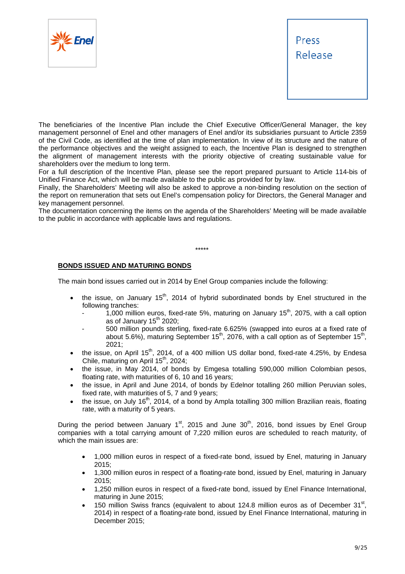



The beneficiaries of the Incentive Plan include the Chief Executive Officer/General Manager, the key management personnel of Enel and other managers of Enel and/or its subsidiaries pursuant to Article 2359 of the Civil Code, as identified at the time of plan implementation. In view of its structure and the nature of the performance objectives and the weight assigned to each, the Incentive Plan is designed to strengthen the alignment of management interests with the priority objective of creating sustainable value for shareholders over the medium to long term.

For a full description of the Incentive Plan, please see the report prepared pursuant to Article 114-bis of Unified Finance Act, which will be made available to the public as provided for by law.

Finally, the Shareholders' Meeting will also be asked to approve a non-binding resolution on the section of the report on remuneration that sets out Enel's compensation policy for Directors, the General Manager and key management personnel.

The documentation concerning the items on the agenda of the Shareholders' Meeting will be made available to the public in accordance with applicable laws and regulations.

\*\*\*\*\*

# **BONDS ISSUED AND MATURING BONDS**

The main bond issues carried out in 2014 by Enel Group companies include the following:

- the issue, on January  $15<sup>th</sup>$ , 2014 of hybrid subordinated bonds by Enel structured in the following tranches:
	- 1,000 million euros, fixed-rate 5%, maturing on January 15<sup>th</sup>, 2075, with a call option as of January  $15<sup>th</sup> 2020$ ;
	- 500 million pounds sterling, fixed-rate 6.625% (swapped into euros at a fixed rate of about 5.6%), maturing September 15th, 2076, with a call option as of September 15th, 2021;
- the issue, on April  $15<sup>th</sup>$ , 2014, of a 400 million US dollar bond, fixed-rate 4.25%, by Endesa Chile, maturing on April 15<sup>th</sup>, 2024;
- the issue, in May 2014, of bonds by Emgesa totalling 590,000 million Colombian pesos, floating rate, with maturities of 6, 10 and 16 years;
- the issue, in April and June 2014, of bonds by Edelnor totalling 260 million Peruvian soles, fixed rate, with maturities of 5, 7 and 9 years;
- the issue, on July 16<sup>th</sup>, 2014, of a bond by Ampla totalling 300 million Brazilian reais, floating rate, with a maturity of 5 years.

During the period between January  $1<sup>st</sup>$ , 2015 and June  $30<sup>th</sup>$ , 2016, bond issues by Enel Group companies with a total carrying amount of 7,220 million euros are scheduled to reach maturity, of which the main issues are:

- 1,000 million euros in respect of a fixed-rate bond, issued by Enel, maturing in January 2015;
- 1,300 million euros in respect of a floating-rate bond, issued by Enel, maturing in January 2015;
- 1,250 million euros in respect of a fixed-rate bond, issued by Enel Finance International, maturing in June 2015;
- 150 million Swiss francs (equivalent to about 124.8 million euros as of December 31<sup>st</sup>. 2014) in respect of a floating-rate bond, issued by Enel Finance International, maturing in December 2015;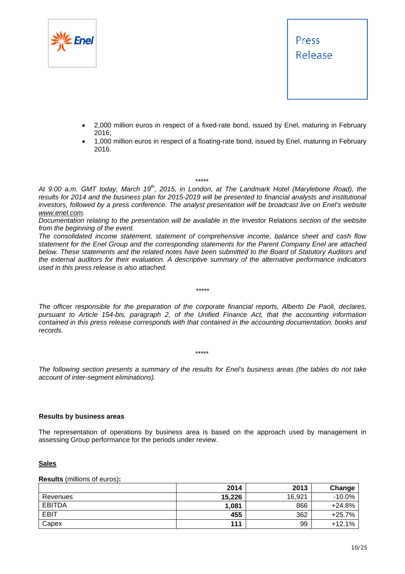



- 2,000 million euros in respect of a fixed-rate bond, issued by Enel, maturing in February 2016;
- 1,000 million euros in respect of a floating-rate bond, issued by Enel, maturing in February 2016.

\*\*\*\*\*

At 9:00 a.m. GMT today, March 19<sup>th</sup>, 2015, in London, at The Landmark Hotel (Marylebone Road), the results for 2014 and the business plan for 2015-2019 will be presented to financial analysts and institutional *investors, followed by a press conference. The analyst presentation will be broadcast live on Enel's website www.enel.com.* 

*Documentation relating to the presentation will be available in the* Investor Relations *section of the website from the beginning of the event.* 

*The consolidated income statement, statement of comprehensive income, balance sheet and cash flow statement for the Enel Group and the corresponding statements for the Parent Company Enel are attached below. These statements and the related notes have been submitted to the Board of Statutory Auditors and the external auditors for their evaluation. A descriptive summary of the alternative performance indicators used in this press release is also attached.* 

*The officer responsible for the preparation of the corporate financial reports, Alberto De Paoli, declares, pursuant to Article 154-bis, paragraph 2, of the Unified Finance Act, that the accounting information contained in this press release corresponds with that contained in the accounting documentation, books and records.* 

*\*\*\*\*\** 

*The following section presents a summary of the results for Enel's business areas (the tables do not take account of inter-segment eliminations).* 

\*\*\*\*\*

## **Results by business areas**

The representation of operations by business area is based on the approach used by management in assessing Group performance for the periods under review.

## **Sales**

**Results** (millions of euros)**:** 

|               | 2014   | 2013   | Change   |
|---------------|--------|--------|----------|
| Revenues      | 15,226 | 16.921 | $-10.0%$ |
| <b>EBITDA</b> | 1,081  | 866    | $+24.8%$ |
| <b>EBIT</b>   | 455    | 362    | $+25.7%$ |
| Capex         | 111    | 99     | $+12.1%$ |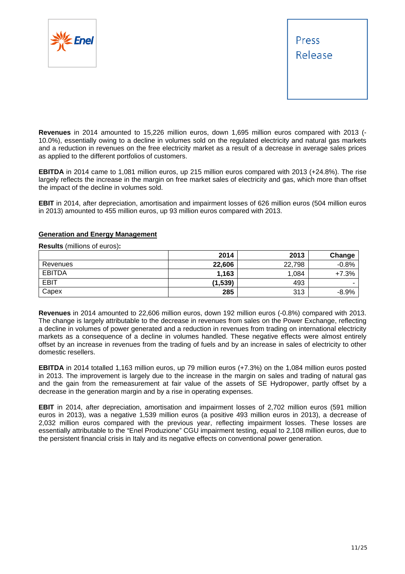



**Revenues** in 2014 amounted to 15,226 million euros, down 1,695 million euros compared with 2013 (- 10.0%), essentially owing to a decline in volumes sold on the regulated electricity and natural gas markets and a reduction in revenues on the free electricity market as a result of a decrease in average sales prices as applied to the different portfolios of customers.

**EBITDA** in 2014 came to 1,081 million euros, up 215 million euros compared with 2013 (+24.8%). The rise largely reflects the increase in the margin on free market sales of electricity and gas, which more than offset the impact of the decline in volumes sold.

**EBIT** in 2014, after depreciation, amortisation and impairment losses of 626 million euros (504 million euros in 2013) amounted to 455 million euros, up 93 million euros compared with 2013.

## **Generation and Energy Management**

**Results** (millions of euros)**:** 

|               | 2014     | 2013   | Change  |
|---------------|----------|--------|---------|
| Revenues      | 22,606   | 22,798 | $-0.8%$ |
| <b>EBITDA</b> | 1,163    | 1,084  | $+7.3%$ |
| <b>EBIT</b>   | (1, 539) | 493    | -       |
| Capex         | 285      | 313    | $-8.9%$ |

**Revenues** in 2014 amounted to 22,606 million euros, down 192 million euros (-0.8%) compared with 2013. The change is largely attributable to the decrease in revenues from sales on the Power Exchange, reflecting a decline in volumes of power generated and a reduction in revenues from trading on international electricity markets as a consequence of a decline in volumes handled. These negative effects were almost entirely offset by an increase in revenues from the trading of fuels and by an increase in sales of electricity to other domestic resellers.

**EBITDA** in 2014 totalled 1,163 million euros, up 79 million euros (+7.3%) on the 1,084 million euros posted in 2013. The improvement is largely due to the increase in the margin on sales and trading of natural gas and the gain from the remeasurement at fair value of the assets of SE Hydropower, partly offset by a decrease in the generation margin and by a rise in operating expenses.

**EBIT** in 2014, after depreciation, amortisation and impairment losses of 2,702 million euros (591 million euros in 2013), was a negative 1,539 million euros (a positive 493 million euros in 2013), a decrease of 2,032 million euros compared with the previous year, reflecting impairment losses. These losses are essentially attributable to the "Enel Produzione" CGU impairment testing, equal to 2,108 million euros, due to the persistent financial crisis in Italy and its negative effects on conventional power generation.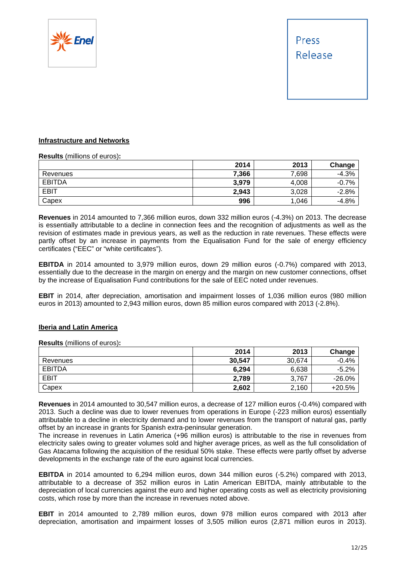

## **Infrastructure and Networks**

## **Results** (millions of euros)**:**

|               | 2014  | 2013  | Change  |
|---------------|-------|-------|---------|
| Revenues      | 7,366 | 7,698 | $-4.3%$ |
| <b>EBITDA</b> | 3,979 | 4,008 | $-0.7%$ |
| <b>EBIT</b>   | 2,943 | 3,028 | $-2.8%$ |
| Capex         | 996   | 1,046 | $-4.8%$ |

**Revenues** in 2014 amounted to 7,366 million euros, down 332 million euros (-4.3%) on 2013. The decrease is essentially attributable to a decline in connection fees and the recognition of adjustments as well as the revision of estimates made in previous years, as well as the reduction in rate revenues. These effects were partly offset by an increase in payments from the Equalisation Fund for the sale of energy efficiency certificates ("EEC" or "white certificates").

**EBITDA** in 2014 amounted to 3,979 million euros, down 29 million euros (-0.7%) compared with 2013, essentially due to the decrease in the margin on energy and the margin on new customer connections, offset by the increase of Equalisation Fund contributions for the sale of EEC noted under revenues.

**EBIT** in 2014, after depreciation, amortisation and impairment losses of 1,036 million euros (980 million euros in 2013) amounted to 2,943 million euros, down 85 million euros compared with 2013 (-2.8%).

## **Iberia and Latin America**

**Results** (millions of euros)**:** 

|               | 2014   | 2013   | Change   |
|---------------|--------|--------|----------|
| Revenues      | 30,547 | 30.674 | $-0.4%$  |
| <b>EBITDA</b> | 6,294  | 6,638  | $-5.2%$  |
| <b>EBIT</b>   | 2,789  | 3,767  | $-26.0%$ |
| Capex         | 2,602  | 2,160  | +20.5%   |

**Revenues** in 2014 amounted to 30,547 million euros, a decrease of 127 million euros (-0.4%) compared with 2013. Such a decline was due to lower revenues from operations in Europe (-223 million euros) essentially attributable to a decline in electricity demand and to lower revenues from the transport of natural gas, partly offset by an increase in grants for Spanish extra-peninsular generation.

The increase in revenues in Latin America (+96 million euros) is attributable to the rise in revenues from electricity sales owing to greater volumes sold and higher average prices, as well as the full consolidation of Gas Atacama following the acquisition of the residual 50% stake. These effects were partly offset by adverse developments in the exchange rate of the euro against local currencies.

**EBITDA** in 2014 amounted to 6,294 million euros, down 344 million euros (-5.2%) compared with 2013, attributable to a decrease of 352 million euros in Latin American EBITDA, mainly attributable to the depreciation of local currencies against the euro and higher operating costs as well as electricity provisioning costs, which rose by more than the increase in revenues noted above.

**EBIT** in 2014 amounted to 2,789 million euros, down 978 million euros compared with 2013 after depreciation, amortisation and impairment losses of 3,505 million euros (2,871 million euros in 2013).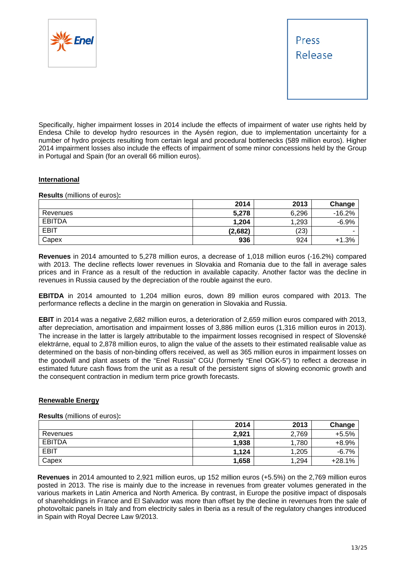



Specifically, higher impairment losses in 2014 include the effects of impairment of water use rights held by Endesa Chile to develop hydro resources in the Aysén region, due to implementation uncertainty for a number of hydro projects resulting from certain legal and procedural bottlenecks (589 million euros). Higher 2014 impairment losses also include the effects of impairment of some minor concessions held by the Group in Portugal and Spain (for an overall 66 million euros).

# **International**

**Results** (millions of euros)**:** 

|               | 2014    | 2013  | Change   |
|---------------|---------|-------|----------|
| Revenues      | 5,278   | 6,296 | $-16.2%$ |
| <b>EBITDA</b> | 1,204   | 1,293 | $-6.9%$  |
| <b>EBIT</b>   | (2,682) | (23)  | ۰        |
| Capex         | 936     | 924   | $+1.3%$  |

**Revenues** in 2014 amounted to 5,278 million euros, a decrease of 1,018 million euros (-16.2%) compared with 2013. The decline reflects lower revenues in Slovakia and Romania due to the fall in average sales prices and in France as a result of the reduction in available capacity. Another factor was the decline in revenues in Russia caused by the depreciation of the rouble against the euro.

**EBITDA** in 2014 amounted to 1,204 million euros, down 89 million euros compared with 2013. The performance reflects a decline in the margin on generation in Slovakia and Russia.

**EBIT** in 2014 was a negative 2,682 million euros, a deterioration of 2,659 million euros compared with 2013, after depreciation, amortisation and impairment losses of 3,886 million euros (1,316 million euros in 2013). The increase in the latter is largely attributable to the impairment losses recognised in respect of Slovenské elektrárne, equal to 2,878 million euros, to align the value of the assets to their estimated realisable value as determined on the basis of non-binding offers received, as well as 365 million euros in impairment losses on the goodwill and plant assets of the "Enel Russia" CGU (formerly "Enel OGK-5") to reflect a decrease in estimated future cash flows from the unit as a result of the persistent signs of slowing economic growth and the consequent contraction in medium term price growth forecasts.

# **Renewable Energy**

## **Results** (millions of euros)**:**

|               | 2014  | 2013  | Change   |
|---------------|-------|-------|----------|
| Revenues      | 2,921 | 2,769 | $+5.5%$  |
| <b>EBITDA</b> | 1,938 | 1,780 | $+8.9%$  |
| <b>EBIT</b>   | 1,124 | 1,205 | $-6.7%$  |
| Capex         | 1,658 | 1,294 | $+28.1%$ |

**Revenues** in 2014 amounted to 2,921 million euros, up 152 million euros (+5.5%) on the 2,769 million euros posted in 2013. The rise is mainly due to the increase in revenues from greater volumes generated in the various markets in Latin America and North America. By contrast, in Europe the positive impact of disposals of shareholdings in France and El Salvador was more than offset by the decline in revenues from the sale of photovoltaic panels in Italy and from electricity sales in Iberia as a result of the regulatory changes introduced in Spain with Royal Decree Law 9/2013.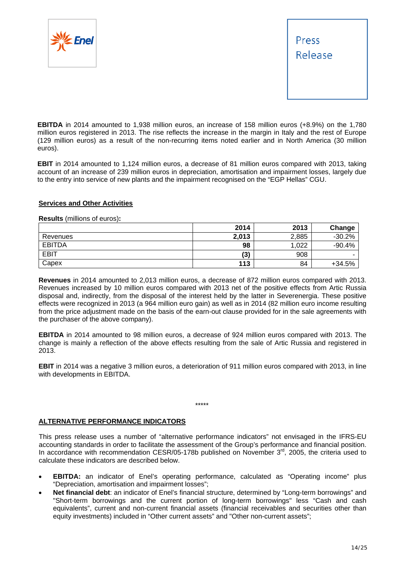



**EBITDA** in 2014 amounted to 1,938 million euros, an increase of 158 million euros (+8.9%) on the 1,780 million euros registered in 2013. The rise reflects the increase in the margin in Italy and the rest of Europe (129 million euros) as a result of the non-recurring items noted earlier and in North America (30 million euros).

**EBIT** in 2014 amounted to 1,124 million euros, a decrease of 81 million euros compared with 2013, taking account of an increase of 239 million euros in depreciation, amortisation and impairment losses, largely due to the entry into service of new plants and the impairment recognised on the "EGP Hellas" CGU.

## **Services and Other Activities**

**Results** (millions of euros)**:** 

|               | 2014  | 2013  | Change   |
|---------------|-------|-------|----------|
| Revenues      | 2,013 | 2,885 | $-30.2%$ |
| <b>EBITDA</b> | 98    | 1,022 | $-90.4%$ |
| <b>EBIT</b>   | (3)   | 908   |          |
| Capex         | 113   | 84    | $+34.5%$ |

**Revenues** in 2014 amounted to 2,013 million euros, a decrease of 872 million euros compared with 2013. Revenues increased by 10 million euros compared with 2013 net of the positive effects from Artic Russia disposal and, indirectly, from the disposal of the interest held by the latter in Severenergia. These positive effects were recognized in 2013 (a 964 million euro gain) as well as in 2014 (82 million euro income resulting from the price adjustment made on the basis of the earn-out clause provided for in the sale agreements with the purchaser of the above company).

**EBITDA** in 2014 amounted to 98 million euros, a decrease of 924 million euros compared with 2013. The change is mainly a reflection of the above effects resulting from the sale of Artic Russia and registered in 2013.

**EBIT** in 2014 was a negative 3 million euros, a deterioration of 911 million euros compared with 2013, in line with developments in EBITDA.

\*\*\*\*\*

# **ALTERNATIVE PERFORMANCE INDICATORS**

This press release uses a number of "alternative performance indicators" not envisaged in the IFRS-EU accounting standards in order to facilitate the assessment of the Group's performance and financial position. In accordance with recommendation CESR/05-178b published on November  $3<sup>rd</sup>$ , 2005, the criteria used to calculate these indicators are described below.

- **EBITDA:** an indicator of Enel's operating performance, calculated as "Operating income" plus "Depreciation, amortisation and impairment losses";
- **Net financial debt**: an indicator of Enel's financial structure, determined by "Long-term borrowings" and "Short-term borrowings and the current portion of long-term borrowings" less "Cash and cash equivalents", current and non-current financial assets (financial receivables and securities other than equity investments) included in "Other current assets" and "Other non-current assets";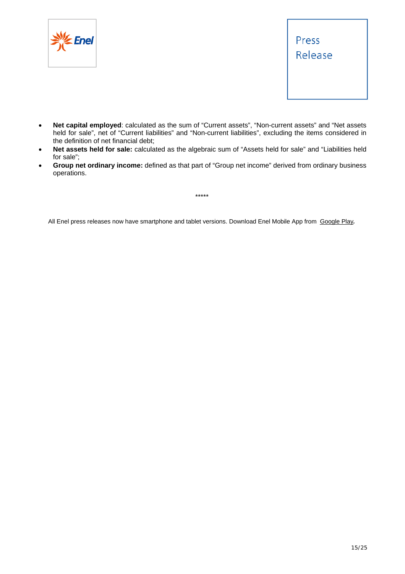



- **Net capital employed**: calculated as the sum of "Current assets", "Non-current assets" and "Net assets held for sale", net of "Current liabilities" and "Non-current liabilities", excluding the items considered in the definition of net financial debt;
- **Net assets held for sale:** calculated as the algebraic sum of "Assets held for sale" and "Liabilities held for sale";
- **Group net ordinary income:** defined as that part of "Group net income" derived from ordinary business operations.

\*\*\*\*\*

All Enel press releases now have smartphone and tablet versions. Download Enel Mobile App from Google Play*.*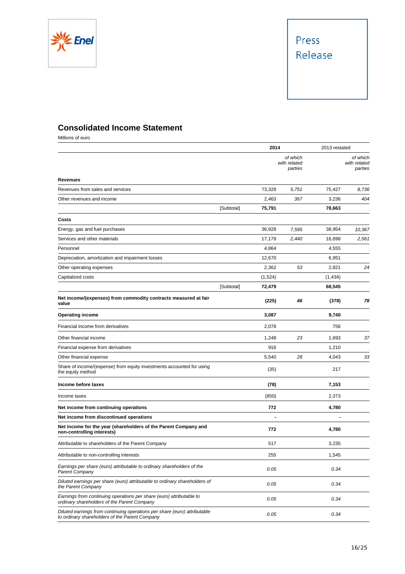

# **Consolidated Income Statement**

Millions of euro

|                                                                                                                             |            | 2014    |                                     | 2013 restated |                                     |
|-----------------------------------------------------------------------------------------------------------------------------|------------|---------|-------------------------------------|---------------|-------------------------------------|
|                                                                                                                             |            |         | of which<br>with related<br>parties |               | of which<br>with related<br>parties |
| <b>Revenues</b>                                                                                                             |            |         |                                     |               |                                     |
| Revenues from sales and services                                                                                            |            | 73,328  | 5,751                               | 75,427        | 8,736                               |
| Other revenues and income                                                                                                   |            | 2,463   | 367                                 | 3,236         | 404                                 |
|                                                                                                                             | [Subtotal] | 75,791  |                                     | 78,663        |                                     |
| Costs                                                                                                                       |            |         |                                     |               |                                     |
| Energy, gas and fuel purchases                                                                                              |            | 36,928  | 7,595                               | 38,954        | 10,367                              |
| Services and other materials                                                                                                |            | 17,179  | 2.440                               | 16,698        | 2,561                               |
| Personnel                                                                                                                   |            | 4,864   |                                     | 4,555         |                                     |
| Depreciation, amortization and impairment losses                                                                            |            | 12,670  |                                     | 6,951         |                                     |
| Other operating expenses                                                                                                    |            | 2,362   | 53                                  | 2,821         | 24                                  |
| Capitalized costs                                                                                                           |            | (1,524) |                                     | (1, 434)      |                                     |
|                                                                                                                             | [Subtotal] | 72,479  |                                     | 68,545        |                                     |
| Net income/(expenses) from commodity contracts measured at fair<br>value                                                    |            | (225)   | 46                                  | (378)         | 78                                  |
| <b>Operating income</b>                                                                                                     |            | 3,087   |                                     | 9,740         |                                     |
| Financial income from derivatives                                                                                           |            | 2,078   |                                     | 756           |                                     |
| Other financial income                                                                                                      |            | 1,248   | 23                                  | 1,693         | 37                                  |
| Financial expense from derivatives                                                                                          |            | 916     |                                     | 1,210         |                                     |
| Other financial expense                                                                                                     |            | 5,540   | 28                                  | 4,043         | 33                                  |
| Share of income/(expense) from equity investments accounted for using<br>the equity method                                  |            | (35)    |                                     | 217           |                                     |
| Income before taxes                                                                                                         |            | (78)    |                                     | 7,153         |                                     |
| Income taxes                                                                                                                |            | (850)   |                                     | 2,373         |                                     |
| Net income from continuing operations                                                                                       |            | 772     |                                     | 4,780         |                                     |
| Net income from discontinued operations                                                                                     |            |         |                                     |               |                                     |
| Net income for the year (shareholders of the Parent Company and<br>non-controlling interests)                               |            | 772     |                                     | 4,780         |                                     |
| Attributable to shareholders of the Parent Company                                                                          |            | 517     |                                     | 3,235         |                                     |
| Attributable to non-controlling interests                                                                                   |            | 255     |                                     | 1,545         |                                     |
| Earnings per share (euro) attributable to ordinary shareholders of the<br><b>Parent Company</b>                             |            | 0.05    |                                     | 0.34          |                                     |
| Diluted earnings per share (euro) attributable to ordinary shareholders of<br>the Parent Company                            |            | 0.05    |                                     | 0.34          |                                     |
| Earnings from continuing operations per share (euro) attributable to<br>ordinary shareholders of the Parent Company         |            | 0.05    |                                     | 0.34          |                                     |
| Diluted earnings from continuing operations per share (euro) attributable<br>to ordinary shareholders of the Parent Company |            | 0.05    |                                     | 0.34          |                                     |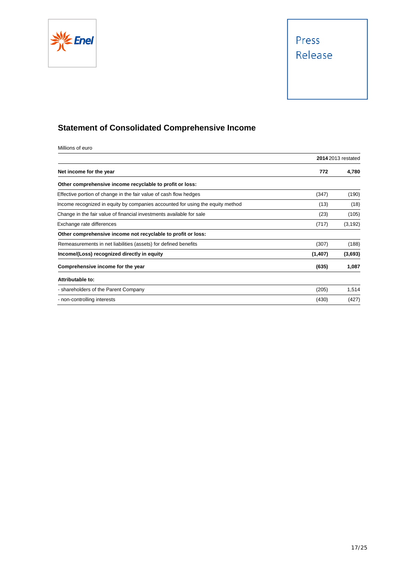



# **Statement of Consolidated Comprehensive Income**

Millions of euro

|                                                                                |         | <b>2014</b> 2013 restated |
|--------------------------------------------------------------------------------|---------|---------------------------|
| Net income for the year                                                        | 772     | 4,780                     |
| Other comprehensive income recyclable to profit or loss:                       |         |                           |
| Effective portion of change in the fair value of cash flow hedges              | (347)   | (190)                     |
| Income recognized in equity by companies accounted for using the equity method | (13)    | (18)                      |
| Change in the fair value of financial investments available for sale           | (23)    | (105)                     |
| Exchange rate differences                                                      | (717)   | (3, 192)                  |
| Other comprehensive income not recyclable to profit or loss:                   |         |                           |
| Remeasurements in net liabilities (assets) for defined benefits                | (307)   | (188)                     |
| Income/(Loss) recognized directly in equity                                    | (1,407) | (3,693)                   |
| Comprehensive income for the year                                              | (635)   | 1,087                     |
| Attributable to:                                                               |         |                           |
| - shareholders of the Parent Company                                           | (205)   | 1,514                     |
| - non-controlling interests                                                    | (430)   | (427)                     |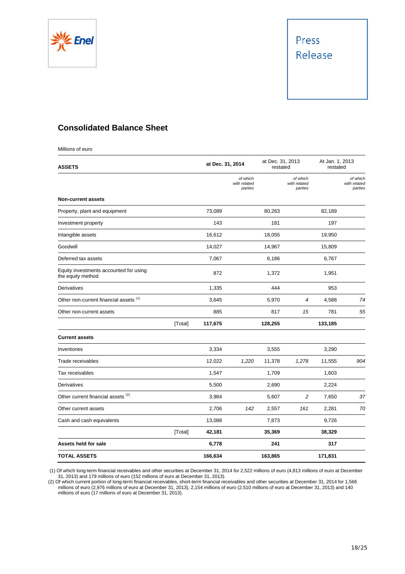



# **Consolidated Balance Sheet**

| <b>ASSETS</b>                                               |         |         | at Dec. 31, 2014                    |         | at Dec. 31, 2013<br>restated        |         | At Jan. 1, 2013<br>restated         |  |
|-------------------------------------------------------------|---------|---------|-------------------------------------|---------|-------------------------------------|---------|-------------------------------------|--|
|                                                             |         |         | of which<br>with related<br>parties |         | of which<br>with related<br>parties |         | of which<br>with related<br>parties |  |
| <b>Non-current assets</b>                                   |         |         |                                     |         |                                     |         |                                     |  |
| Property, plant and equipment                               |         | 73,089  |                                     | 80,263  |                                     | 82,189  |                                     |  |
| Investment property                                         |         | 143     |                                     | 181     |                                     | 197     |                                     |  |
| Intangible assets                                           |         | 16,612  |                                     | 18,055  |                                     | 19,950  |                                     |  |
| Goodwill                                                    |         | 14,027  |                                     | 14,967  |                                     | 15,809  |                                     |  |
| Deferred tax assets                                         |         | 7,067   |                                     | 6,186   |                                     | 6,767   |                                     |  |
| Equity investments accounted for using<br>the equity method |         | 872     |                                     | 1,372   |                                     | 1,951   |                                     |  |
| Derivatives                                                 |         | 1,335   |                                     | 444     |                                     | 953     |                                     |  |
| Other non-current financial assets (1)                      |         | 3,645   |                                     | 5,970   | 4                                   | 4,588   | 74                                  |  |
| Other non-current assets                                    |         | 885     |                                     | 817     | 15                                  | 781     | 55                                  |  |
|                                                             | [Total] | 117,675 |                                     | 128,255 |                                     | 133,185 |                                     |  |
| <b>Current assets</b>                                       |         |         |                                     |         |                                     |         |                                     |  |
| Inventories                                                 |         | 3,334   |                                     | 3,555   |                                     | 3,290   |                                     |  |
| Trade receivables                                           |         | 12,022  | 1,220                               | 11,378  | 1,278                               | 11,555  | 904                                 |  |
| Tax receivables                                             |         | 1,547   |                                     | 1,709   |                                     | 1,603   |                                     |  |
| Derivatives                                                 |         | 5,500   |                                     | 2,690   |                                     | 2,224   |                                     |  |
| Other current financial assets <sup>(2)</sup>               |         | 3,984   |                                     | 5,607   | $\overline{c}$                      | 7,650   | 37                                  |  |
| Other current assets                                        |         | 2,706   | 142                                 | 2,557   | 161                                 | 2,281   | 70                                  |  |
| Cash and cash equivalents                                   |         | 13,088  |                                     | 7,873   |                                     | 9,726   |                                     |  |
|                                                             | [Total] | 42,181  |                                     | 35,369  |                                     | 38,329  |                                     |  |
| Assets held for sale                                        |         | 6,778   |                                     | 241     |                                     | 317     |                                     |  |
| TOTAL ASSETS                                                |         | 166,634 |                                     | 163,865 |                                     | 171,831 |                                     |  |

 (1) Of which long-term financial receivables and other securities at December 31, 2014 for 2,522 millions of euro (4,813 millions of euro at December 31, 2013) and 179 millions of euro (152 millions of euro at December 31, 2013).

(2) Of which current portion of long-term financial receivables, short-term financial receivables and other securities at December 31, 2014 for 1,566 millions of euro (2,976 millions of euro at December 31, 2013), 2,154 millions of euro (2,510 millions of euro at December 31, 2013) and 140 millions of euro (17 millions of euro at December 31, 2013).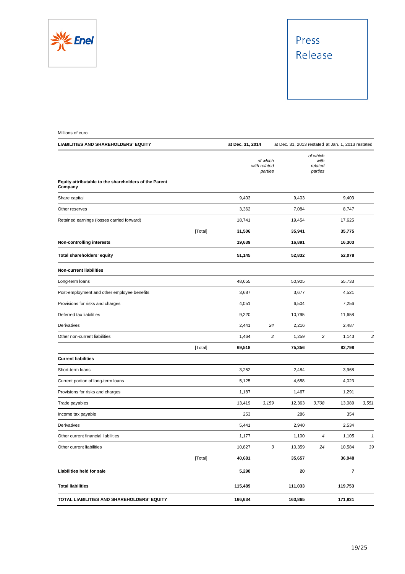

# Press Release

| Millions of euro                                                 |                   |                                     |                                                    |                                        |         |       |
|------------------------------------------------------------------|-------------------|-------------------------------------|----------------------------------------------------|----------------------------------------|---------|-------|
| <b>LIABILITIES AND SHAREHOLDERS' EQUITY</b>                      | at Dec. 31, 2014  |                                     | at Dec. 31, 2013 restated at Jan. 1, 2013 restated |                                        |         |       |
|                                                                  |                   | of which<br>with related<br>parties |                                                    | of which<br>with<br>related<br>parties |         |       |
| Equity attributable to the shareholders of the Parent<br>Company |                   |                                     |                                                    |                                        |         |       |
| Share capital                                                    | 9,403             |                                     | 9,403                                              |                                        | 9,403   |       |
| Other reserves                                                   | 3,362             |                                     | 7,084                                              |                                        | 8,747   |       |
| Retained earnings (losses carried forward)                       | 18,741            |                                     | 19,454                                             |                                        | 17,625  |       |
|                                                                  | [Total]<br>31,506 |                                     | 35,941                                             |                                        | 35,775  |       |
| <b>Non-controlling interests</b>                                 | 19,639            |                                     | 16,891                                             |                                        | 16,303  |       |
| Total shareholders' equity                                       | 51,145            |                                     | 52,832                                             |                                        | 52,078  |       |
| <b>Non-current liabilities</b>                                   |                   |                                     |                                                    |                                        |         |       |
| Long-term loans                                                  | 48,655            |                                     | 50,905                                             |                                        | 55,733  |       |
| Post-employment and other employee benefits                      | 3,687             |                                     | 3,677                                              |                                        | 4,521   |       |
| Provisions for risks and charges                                 | 4,051             |                                     | 6,504                                              |                                        | 7,256   |       |
| Deferred tax liabilities                                         | 9,220             |                                     | 10,795                                             |                                        | 11,658  |       |
| <b>Derivatives</b>                                               | 2,441             | 24                                  | 2,216                                              |                                        | 2,487   |       |
| Other non-current liabilities                                    | 1,464             | 2                                   | 1,259                                              | 2                                      | 1,143   | 2     |
|                                                                  | 69,518<br>[Total] |                                     | 75,356                                             |                                        | 82,798  |       |
| <b>Current liabilities</b>                                       |                   |                                     |                                                    |                                        |         |       |
| Short-term loans                                                 | 3,252             |                                     | 2,484                                              |                                        | 3,968   |       |
| Current portion of long-term loans                               | 5,125             |                                     | 4,658                                              |                                        | 4,023   |       |
| Provisions for risks and charges                                 | 1,187             |                                     | 1,467                                              |                                        | 1,291   |       |
| Trade payables                                                   | 13,419            | 3,159                               | 12,363                                             | 3,708                                  | 13,089  | 3,551 |
| Income tax payable                                               | 253               |                                     | 286                                                |                                        | 354     |       |
| Derivatives                                                      | 5,441             |                                     | 2,940                                              |                                        | 2,534   |       |
| Other current financial liabilities                              | 1,177             |                                     | 1,100                                              | 4                                      | 1,105   | 1     |
| Other current liabilities                                        | 10,827            | 3                                   | 10,359                                             | 24                                     | 10,584  | 39    |
|                                                                  | [Total]<br>40,681 |                                     | 35,657                                             |                                        | 36,948  |       |
| Liabilities held for sale                                        | 5,290             |                                     | 20                                                 |                                        | 7       |       |
| <b>Total liabilities</b>                                         | 115,489           |                                     | 111,033                                            |                                        | 119,753 |       |
| TOTAL LIABILITIES AND SHAREHOLDERS' EQUITY                       | 166,634           |                                     | 163,865                                            |                                        | 171,831 |       |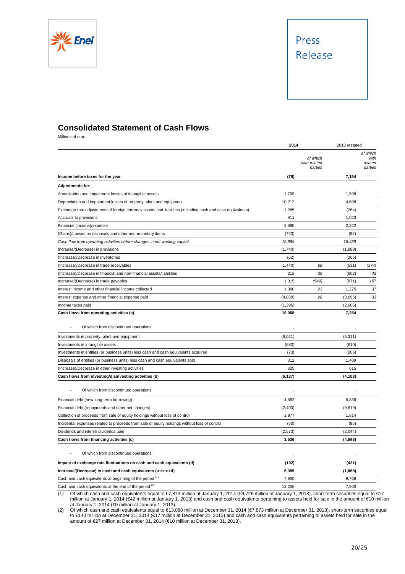



# **Consolidated Statement of Cash Flows**

Millions of euro

|                                                                                                                                                                                          | 2014     | 2013 restated                       |          |                                        |
|------------------------------------------------------------------------------------------------------------------------------------------------------------------------------------------|----------|-------------------------------------|----------|----------------------------------------|
|                                                                                                                                                                                          |          | of which<br>with related<br>parties |          | of which<br>with<br>related<br>parties |
| Income before taxes for the year                                                                                                                                                         | (78)     |                                     | 7,154    |                                        |
| <b>Adjustments for:</b>                                                                                                                                                                  |          |                                     |          |                                        |
| Amortization and impairment losses of intangible assets                                                                                                                                  | 1,709    |                                     | 1,598    |                                        |
| Depreciation and impairment losses of property, plant and equipment                                                                                                                      | 10,212   |                                     | 4,698    |                                        |
| Exchange rate adjustments of foreign currency assets and liabilities (including cash and cash equivalents)                                                                               | 1,285    |                                     | (264)    |                                        |
| Accruals to provisions                                                                                                                                                                   | 911      |                                     | 1,023    |                                        |
| Financial (income)/expense                                                                                                                                                               | 2,580    |                                     | 2,322    |                                        |
| (Gains)/Losses on disposals and other non-monetary items                                                                                                                                 | (720)    |                                     | (92)     |                                        |
| Cash flow from operating activities before changes in net working capital                                                                                                                | 15,899   |                                     | 16,439   |                                        |
| Increase/(Decrease) in provisions                                                                                                                                                        | (1,740)  |                                     | (1,889)  |                                        |
| (Increase)/Decrease in inventories                                                                                                                                                       | (62)     |                                     | (266)    |                                        |
| (Increase)/Decrease in trade receivables                                                                                                                                                 | (1, 440) | 58                                  | (531)    | (374)                                  |
| (Increase)/Decrease in financial and non-financial assets/liabilities                                                                                                                    | 212      | 39                                  | (602)    | 42                                     |
| Increase/(Decrease) in trade payables                                                                                                                                                    | 1,315    | (549)                               | (871)    | 157                                    |
| Interest income and other financial income collected                                                                                                                                     | 1,300    | 23                                  | 1,275    | 37                                     |
| Interest expense and other financial expense paid                                                                                                                                        | (4,030)  | 28                                  | (3,695)  | 33                                     |
| Income taxes paid                                                                                                                                                                        | (1, 396) |                                     | (2,606)  |                                        |
| Cash flows from operating activities (a)                                                                                                                                                 | 10,058   |                                     | 7,254    |                                        |
| Of which from discontinued operations                                                                                                                                                    |          |                                     |          |                                        |
| Investments in property, plant and equipment                                                                                                                                             | (6,021)  |                                     | (5, 311) |                                        |
| Investments in intangible assets                                                                                                                                                         | (680)    |                                     | (610)    |                                        |
| Investments in entities (or business units) less cash and cash equivalents acquired                                                                                                      | (73)     |                                     | (206)    |                                        |
| Disposals of entities (or business units) less cash and cash equivalents sold                                                                                                            | 312      |                                     | 1,409    |                                        |
| (Increase)/Decrease in other investing activities                                                                                                                                        | 325      |                                     | 615      |                                        |
| Cash flows from investing/disinvesting activities (b)                                                                                                                                    | (6, 137) |                                     | (4, 103) |                                        |
| Of which from discontinued operations                                                                                                                                                    |          |                                     |          |                                        |
| Financial debt (new long-term borrowing)                                                                                                                                                 | 4,582    |                                     | 5,336    |                                        |
| Financial debt (repayments and other net changes)                                                                                                                                        | (2,400)  |                                     | (9,619)  |                                        |
| Collection of proceeds from sale of equity holdings without loss of control                                                                                                              | 1,977    |                                     | 1,814    |                                        |
| Incidental expenses related to proceeds from sale of equity holdings without loss of control                                                                                             | (50)     |                                     | (85)     |                                        |
| Dividends and interim dividends paid                                                                                                                                                     | (2, 573) |                                     | (2,044)  |                                        |
| Cash flows from financing activities (c)                                                                                                                                                 | 1,536    |                                     | (4,598)  |                                        |
| Of which from discontinued operations                                                                                                                                                    |          |                                     |          |                                        |
| Impact of exchange rate fluctuations on cash and cash equivalents (d)                                                                                                                    | (102)    |                                     | (421)    |                                        |
| Increase/(Decrease) in cash and cash equivalents (a+b+c+d)                                                                                                                               | 5,355    |                                     | (1,868)  |                                        |
| Cash and cash equivalents at beginning of the period (1)                                                                                                                                 | 7,900    |                                     | 9,768    |                                        |
| Cash and cash equivalents at the end of the period (2)                                                                                                                                   | 13,255   |                                     | 7,900    |                                        |
| (1)<br>Of which cash and cash equivalents equal to $\epsilon$ 7.873 million at January 1, 2014 ( $\epsilon$ 9.726 million at January 1, 2013), short-term securities equal to $\epsilon$ |          |                                     |          |                                        |

(1) Of which cash and cash equivalents equal to €7,873 million at January 1, 2014 (€9,726 million at January 1, 2013), short-term securities equal to €17 million at January 1, 2014 (€42 million at January 1, 2013) and cash and cash equivalents pertaining to assets held for sale in the amount of €10 million at January 1, 2014 (€0 million at January 1, 2013).

(2) Of which cash and cash equivalents equal to €13,088 million at December 31, 2014 (€7,873 million at December 31, 2013), short-term securities equal to €140 million at December 31, 2014 (€17 million at December 31, 2013) and cash and cash equivalents pertaining to assets held for sale in the amount of €27 million at December 31, 2014 (€10 million at December 31, 2013).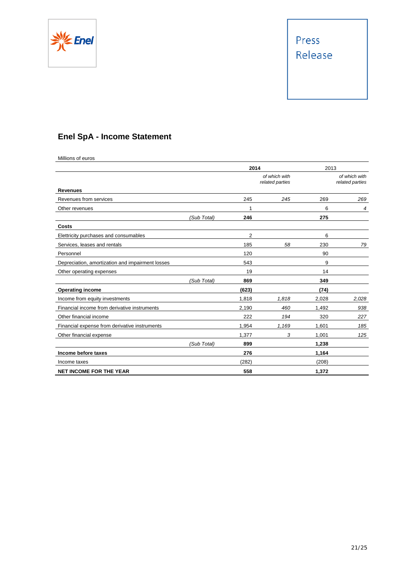



# **Enel SpA - Income Statement**

Millions of euros

|                                                  |             | 2014  |                                  |       | 2013                             |  |
|--------------------------------------------------|-------------|-------|----------------------------------|-------|----------------------------------|--|
|                                                  |             |       | of which with<br>related parties |       | of which with<br>related parties |  |
| <b>Revenues</b>                                  |             |       |                                  |       |                                  |  |
| Revenues from services                           |             | 245   | 245                              | 269   | 269                              |  |
| Other revenues                                   |             | 1     |                                  | 6     | 4                                |  |
|                                                  | (Sub Total) | 246   |                                  | 275   |                                  |  |
| Costs                                            |             |       |                                  |       |                                  |  |
| Elettricity purchases and consumables            |             | 2     |                                  | 6     |                                  |  |
| Services, leases and rentals                     |             | 185   | 58                               | 230   | 79                               |  |
| Personnel                                        |             | 120   |                                  | 90    |                                  |  |
| Depreciation, amortization and impairment losses |             | 543   |                                  | 9     |                                  |  |
| Other operating expenses                         |             | 19    |                                  | 14    |                                  |  |
|                                                  | (Sub Total) | 869   |                                  | 349   |                                  |  |
| <b>Operating income</b>                          |             | (623) |                                  | (74)  |                                  |  |
| Income from equity investments                   |             | 1,818 | 1,818                            | 2,028 | 2,028                            |  |
| Financial income from derivative instruments     |             | 2,190 | 460                              | 1,492 | 938                              |  |
| Other financial income                           |             | 222   | 194                              | 320   | 227                              |  |
| Financial expense from derivative instruments    |             | 1,954 | 1,169                            | 1,601 | 185                              |  |
| Other financial expense                          |             | 1,377 | 3                                | 1,001 | 125                              |  |
|                                                  | (Sub Total) | 899   |                                  | 1,238 |                                  |  |
| Income before taxes                              |             | 276   |                                  | 1,164 |                                  |  |
| Income taxes                                     |             | (282) |                                  | (208) |                                  |  |
| <b>NET INCOME FOR THE YEAR</b>                   |             | 558   |                                  | 1,372 |                                  |  |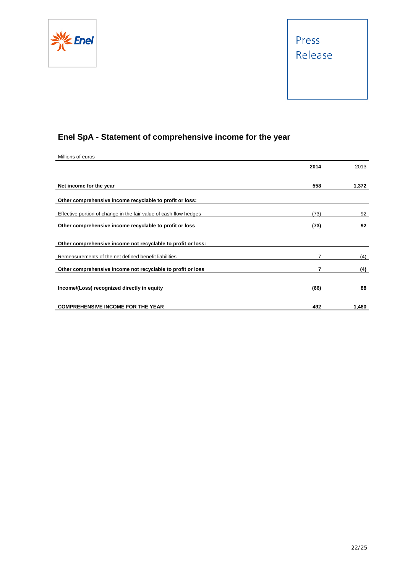



# **Enel SpA - Statement of comprehensive income for the year**

| Millions of euros                                                 |      |       |
|-------------------------------------------------------------------|------|-------|
|                                                                   | 2014 | 2013  |
|                                                                   |      |       |
| Net income for the year                                           | 558  | 1,372 |
| Other comprehensive income recyclable to profit or loss:          |      |       |
| Effective portion of change in the fair value of cash flow hedges | (73) | 92    |
| Other comprehensive income recyclable to profit or loss           | (73) | 92    |
| Other comprehensive income not recyclable to profit or loss:      |      |       |
| Remeasurements of the net defined benefit liabilities             | 7    | (4)   |
| Other comprehensive income not recyclable to profit or loss       | 7    | (4)   |
| Income/(Loss) recognized directly in equity                       | (66) | 88    |
| <b>COMPREHENSIVE INCOME FOR THE YEAR</b>                          | 492  | 1,460 |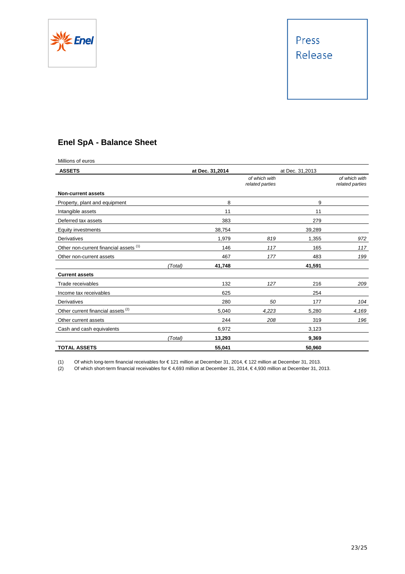



# **Enel SpA - Balance Sheet**

| Millions of euros                             |         |                 |                                  |                 |                                  |
|-----------------------------------------------|---------|-----------------|----------------------------------|-----------------|----------------------------------|
| <b>ASSETS</b>                                 |         | at Dec. 31,2014 |                                  | at Dec. 31,2013 |                                  |
|                                               |         |                 | of which with<br>related parties |                 | of which with<br>related parties |
| <b>Non-current assets</b>                     |         |                 |                                  |                 |                                  |
| Property, plant and equipment                 |         | 8               |                                  | 9               |                                  |
| Intangible assets                             |         | 11              |                                  | 11              |                                  |
| Deferred tax assets                           |         | 383             |                                  | 279             |                                  |
| Equity investments                            |         | 38,754          |                                  | 39,289          |                                  |
| Derivatives                                   |         | 1,979           | 819                              | 1,355           | 972                              |
| Other non-current financial assets (1)        |         | 146             | 117                              | 165             | 117                              |
| Other non-current assets                      |         | 467             | 177                              | 483             | 199                              |
|                                               | (Total) | 41,748          |                                  | 41,591          |                                  |
| <b>Current assets</b>                         |         |                 |                                  |                 |                                  |
| Trade receivables                             |         | 132             | 127                              | 216             | 209                              |
| Income tax receivables                        |         | 625             |                                  | 254             |                                  |
| Derivatives                                   |         | 280             | 50                               | 177             | 104                              |
| Other current financial assets <sup>(2)</sup> |         | 5,040           | 4,223                            | 5,280           | 4,169                            |
| Other current assets                          |         | 244             | 208                              | 319             | 196                              |
| Cash and cash equivalents                     |         | 6,972           |                                  | 3,123           |                                  |
|                                               | (Total) | 13,293          |                                  | 9,369           |                                  |
| <b>TOTAL ASSETS</b>                           |         | 55,041          |                                  | 50,960          |                                  |

(1) Of which long-term financial receivables for € 121 million at December 31, 2014, € 122 million at December 31, 2013.

(2) Of which short-term financial receivables for € 4,693 million at December 31, 2014, € 4,930 million at December 31, 2013.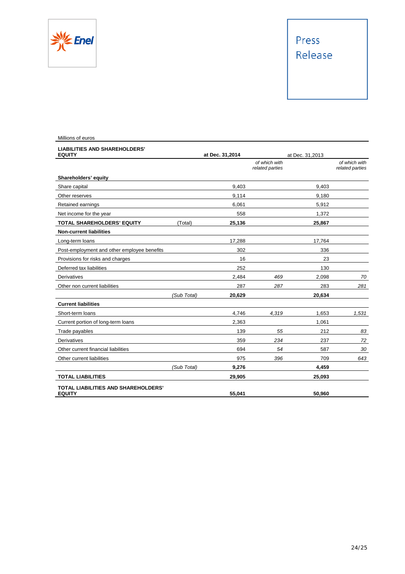

# Press Release

| Millions of euros                                           |             |                 |                                  |                 |                                  |
|-------------------------------------------------------------|-------------|-----------------|----------------------------------|-----------------|----------------------------------|
| <b>LIABILITIES AND SHAREHOLDERS'</b><br><b>EQUITY</b>       |             | at Dec. 31,2014 |                                  | at Dec. 31,2013 |                                  |
|                                                             |             |                 | of which with<br>related parties |                 | of which with<br>related parties |
| Shareholders' equity                                        |             |                 |                                  |                 |                                  |
| Share capital                                               |             | 9.403           |                                  | 9.403           |                                  |
| Other reserves                                              |             | 9,114           |                                  | 9,180           |                                  |
| Retained earnings                                           |             | 6,061           |                                  | 5,912           |                                  |
| Net income for the year                                     |             | 558             |                                  | 1,372           |                                  |
| <b>TOTAL SHAREHOLDERS' EQUITY</b>                           | (Total)     | 25,136          |                                  | 25,867          |                                  |
| <b>Non-current liabilities</b>                              |             |                 |                                  |                 |                                  |
| Long-term loans                                             |             | 17,288          |                                  | 17,764          |                                  |
| Post-employment and other employee benefits                 |             | 302             |                                  | 336             |                                  |
| Provisions for risks and charges                            |             | 16              |                                  | 23              |                                  |
| Deferred tax liabilities                                    |             | 252             |                                  | 130             |                                  |
| Derivatives                                                 |             | 2,484           | 469                              | 2,098           | 70                               |
| Other non current liabilities                               |             | 287             | 287                              | 283             | 281                              |
|                                                             | (Sub Total) | 20,629          |                                  | 20,634          |                                  |
| <b>Current liabilities</b>                                  |             |                 |                                  |                 |                                  |
| Short-term loans                                            |             | 4,746           | 4,319                            | 1,653           | 1,531                            |
| Current portion of long-term loans                          |             | 2,363           |                                  | 1,061           |                                  |
| Trade payables                                              |             | 139             | 55                               | 212             | 83                               |
| <b>Derivatives</b>                                          |             | 359             | 234                              | 237             | 72                               |
| Other current financial liabilities                         |             | 694             | 54                               | 587             | 30                               |
| Other current liabilities                                   |             | 975             | 396                              | 709             | 643                              |
|                                                             | (Sub Total) | 9,276           |                                  | 4,459           |                                  |
| <b>TOTAL LIABILITIES</b>                                    |             | 29,905          |                                  | 25,093          |                                  |
| <b>TOTAL LIABILITIES AND SHAREHOLDERS'</b><br><b>EQUITY</b> |             | 55,041          |                                  | 50,960          |                                  |